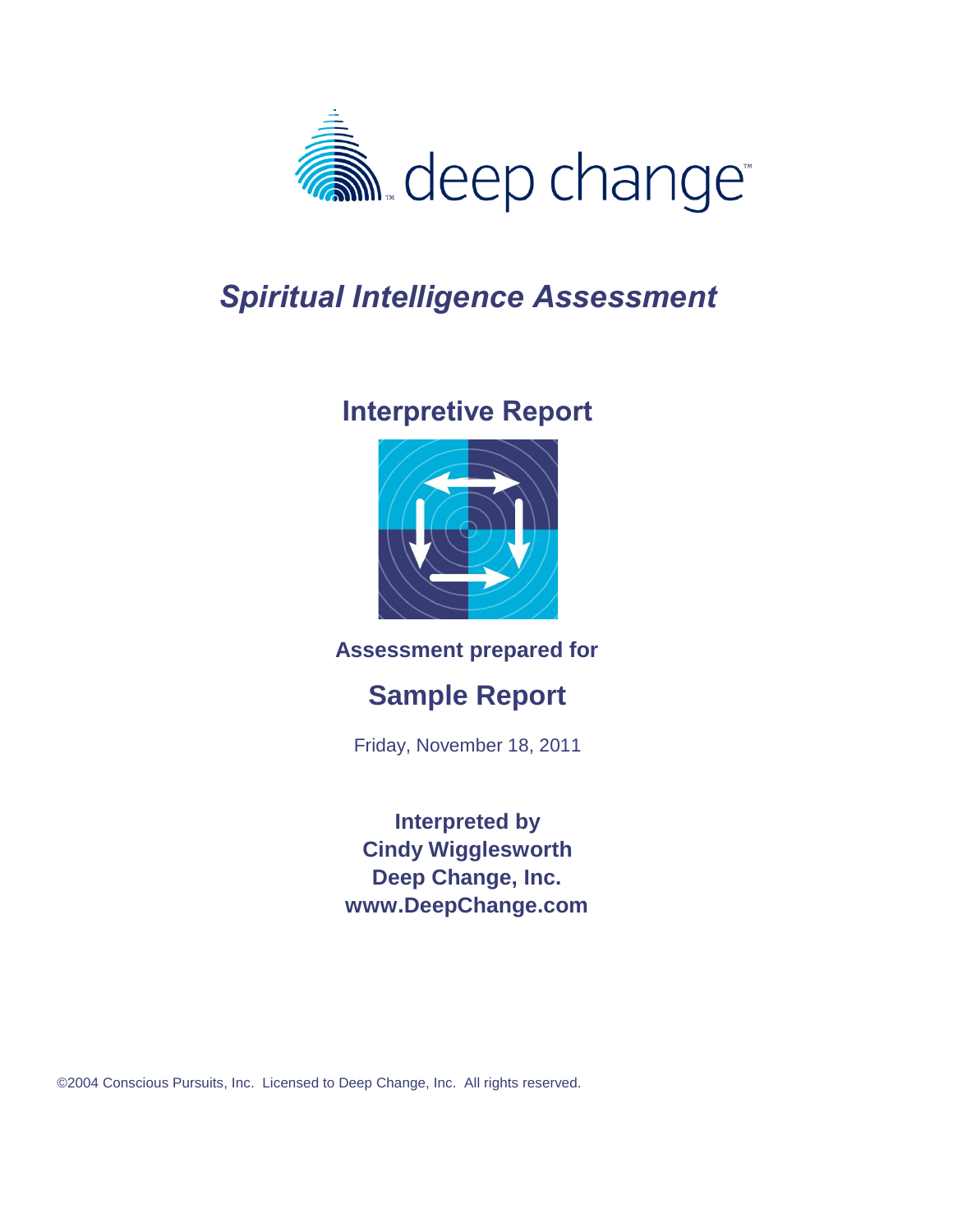

# *Spiritual Intelligence Assessment*

# **Interpretive Report**



## **Assessment prepared for**

# **Sample Report**

Friday, November 18, 2011

**Interpreted by Cindy Wigglesworth Deep Change, Inc. www.DeepChange.com**

©2004 Conscious Pursuits, Inc. Licensed to Deep Change, Inc. All rights reserved.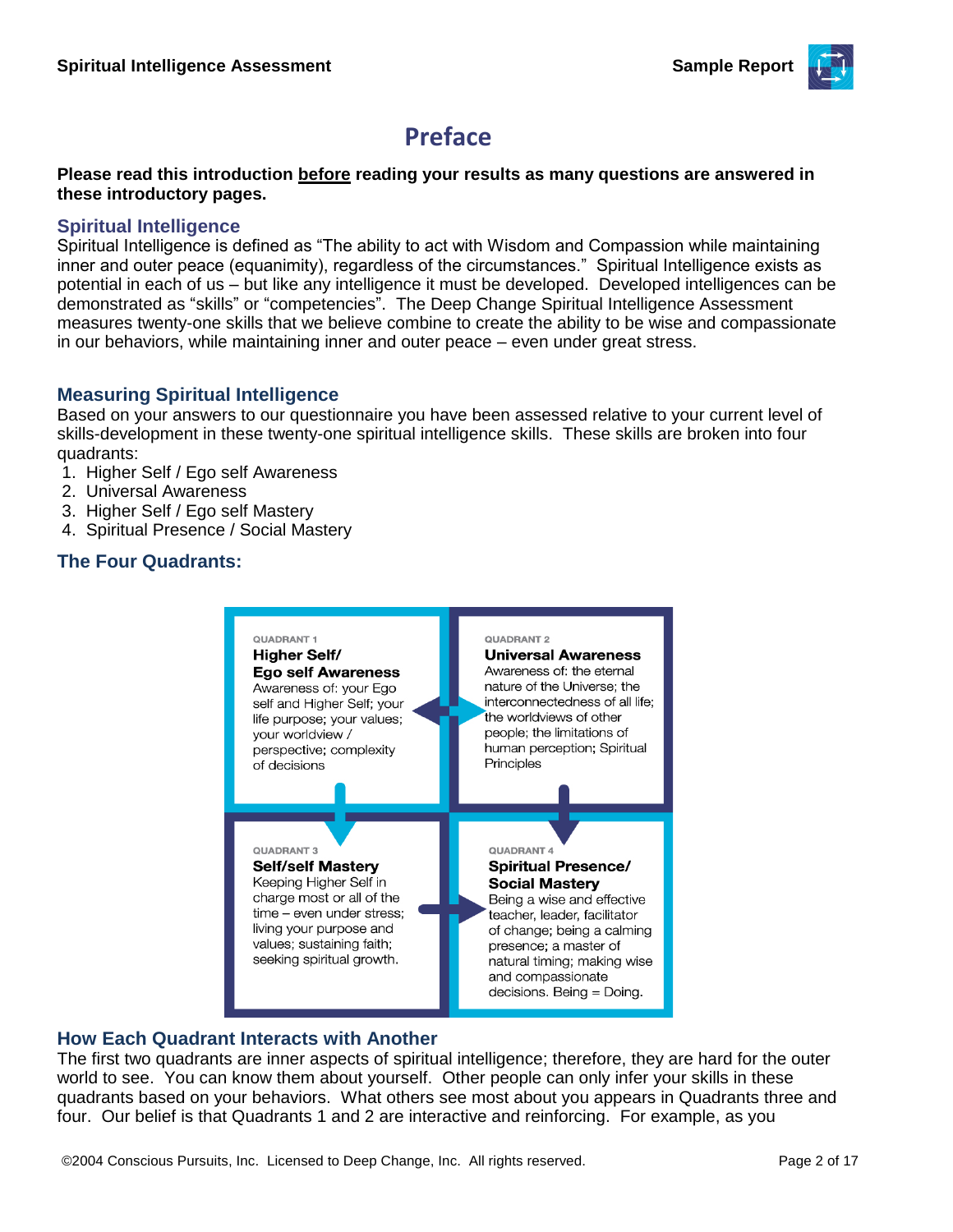

## **Preface**

### **Please read this introduction before reading your results as many questions are answered in these introductory pages.**

### **Spiritual Intelligence**

Spiritual Intelligence is defined as "The ability to act with Wisdom and Compassion while maintaining inner and outer peace (equanimity), regardless of the circumstances." Spiritual Intelligence exists as potential in each of us – but like any intelligence it must be developed. Developed intelligences can be demonstrated as "skills" or "competencies". The Deep Change Spiritual Intelligence Assessment measures twenty-one skills that we believe combine to create the ability to be wise and compassionate in our behaviors, while maintaining inner and outer peace – even under great stress.

### **Measuring Spiritual Intelligence**

Based on your answers to our questionnaire you have been assessed relative to your current level of skills-development in these twenty-one spiritual intelligence skills. These skills are broken into four quadrants:

- 1. Higher Self / Ego self Awareness
- 2. Universal Awareness
- 3. Higher Self / Ego self Mastery
- 4. Spiritual Presence / Social Mastery

### **The Four Quadrants:**



### **How Each Quadrant Interacts with Another**

The first two quadrants are inner aspects of spiritual intelligence; therefore, they are hard for the outer world to see. You can know them about yourself. Other people can only infer your skills in these quadrants based on your behaviors. What others see most about you appears in Quadrants three and four. Our belief is that Quadrants 1 and 2 are interactive and reinforcing. For example, as you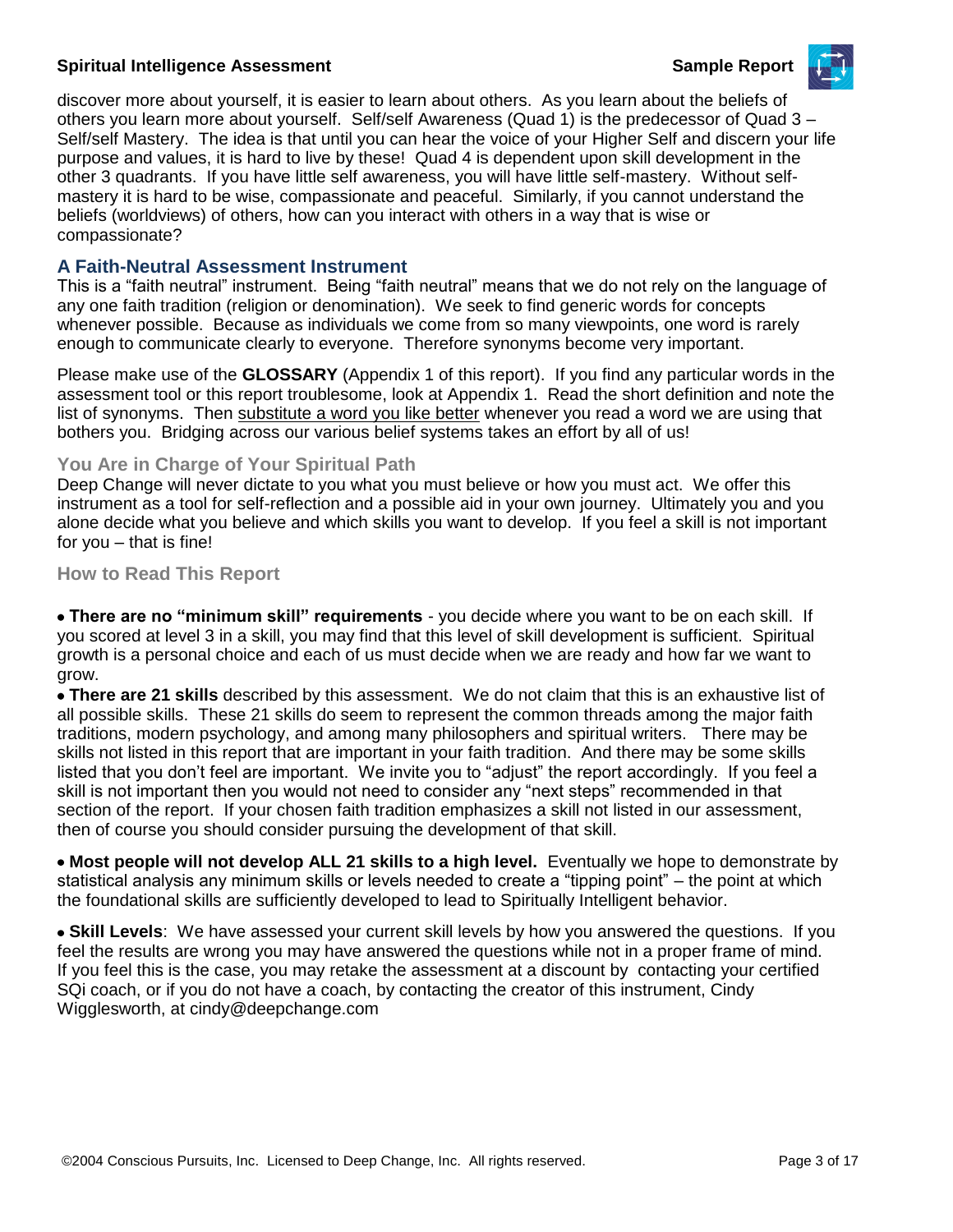#### **Spiritual Intelligence Assessment Sample Report**

discover more about yourself, it is easier to learn about others. As you learn about the beliefs of others you learn more about yourself. Self/self Awareness (Quad 1) is the predecessor of Quad 3 – Self/self Mastery. The idea is that until you can hear the voice of your Higher Self and discern your life purpose and values, it is hard to live by these! Quad 4 is dependent upon skill development in the other 3 quadrants. If you have little self awareness, you will have little self-mastery. Without selfmastery it is hard to be wise, compassionate and peaceful. Similarly, if you cannot understand the beliefs (worldviews) of others, how can you interact with others in a way that is wise or compassionate?

#### **A Faith-Neutral Assessment Instrument**

This is a "faith neutral" instrument. Being "faith neutral" means that we do not rely on the language of any one faith tradition (religion or denomination). We seek to find generic words for concepts whenever possible. Because as individuals we come from so many viewpoints, one word is rarely enough to communicate clearly to everyone. Therefore synonyms become very important.

Please make use of the **GLOSSARY** (Appendix 1 of this report). If you find any particular words in the assessment tool or this report troublesome, look at Appendix 1. Read the short definition and note the list of synonyms. Then substitute a word you like better whenever you read a word we are using that bothers you. Bridging across our various belief systems takes an effort by all of us!

#### **You Are in Charge of Your Spiritual Path**

Deep Change will never dictate to you what you must believe or how you must act. We offer this instrument as a tool for self-reflection and a possible aid in your own journey. Ultimately you and you alone decide what you believe and which skills you want to develop. If you feel a skill is not important for you – that is fine!

#### **How to Read This Report**

**There are no "minimum skill" requirements** - you decide where you want to be on each skill. If you scored at level 3 in a skill, you may find that this level of skill development is sufficient. Spiritual growth is a personal choice and each of us must decide when we are ready and how far we want to grow.

**There are 21 skills** described by this assessment. We do not claim that this is an exhaustive list of all possible skills. These 21 skills do seem to represent the common threads among the major faith traditions, modern psychology, and among many philosophers and spiritual writers. There may be skills not listed in this report that are important in your faith tradition. And there may be some skills listed that you don't feel are important. We invite you to "adjust" the report accordingly. If you feel a skill is not important then you would not need to consider any "next steps" recommended in that section of the report. If your chosen faith tradition emphasizes a skill not listed in our assessment, then of course you should consider pursuing the development of that skill.

**Most people will not develop ALL 21 skills to a high level.** Eventually we hope to demonstrate by statistical analysis any minimum skills or levels needed to create a "tipping point" – the point at which the foundational skills are sufficiently developed to lead to Spiritually Intelligent behavior.

**Skill Levels**: We have assessed your current skill levels by how you answered the questions. If you feel the results are wrong you may have answered the questions while not in a proper frame of mind. If you feel this is the case, you may retake the assessment at a discount by contacting your certified SQi coach, or if you do not have a coach, by contacting the creator of this instrument, Cindy Wigglesworth, at cindy@deepchange.com

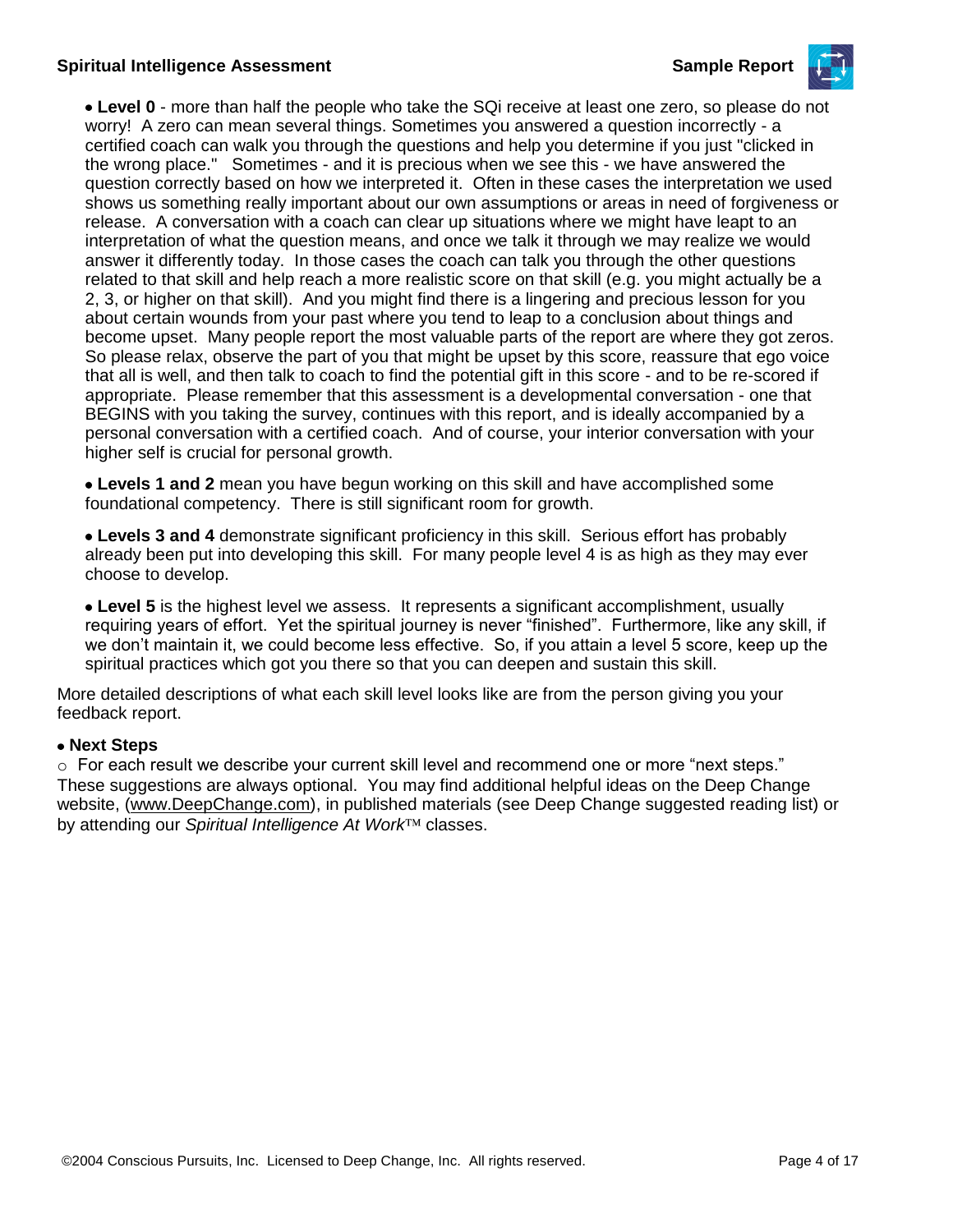#### **Spiritual Intelligence Assessment Sample Report**



**Level 0** - more than half the people who take the SQi receive at least one zero, so please do not worry! A zero can mean several things. Sometimes you answered a question incorrectly - a certified coach can walk you through the questions and help you determine if you just "clicked in the wrong place." Sometimes - and it is precious when we see this - we have answered the question correctly based on how we interpreted it. Often in these cases the interpretation we used shows us something really important about our own assumptions or areas in need of forgiveness or release. A conversation with a coach can clear up situations where we might have leapt to an interpretation of what the question means, and once we talk it through we may realize we would answer it differently today. In those cases the coach can talk you through the other questions related to that skill and help reach a more realistic score on that skill (e.g. you might actually be a 2, 3, or higher on that skill). And you might find there is a lingering and precious lesson for you about certain wounds from your past where you tend to leap to a conclusion about things and become upset. Many people report the most valuable parts of the report are where they got zeros. So please relax, observe the part of you that might be upset by this score, reassure that ego voice that all is well, and then talk to coach to find the potential gift in this score - and to be re-scored if appropriate. Please remember that this assessment is a developmental conversation - one that BEGINS with you taking the survey, continues with this report, and is ideally accompanied by a personal conversation with a certified coach. And of course, your interior conversation with your higher self is crucial for personal growth.

**Levels 1 and 2** mean you have begun working on this skill and have accomplished some foundational competency. There is still significant room for growth.

**Levels 3 and 4** demonstrate significant proficiency in this skill. Serious effort has probably already been put into developing this skill. For many people level 4 is as high as they may ever choose to develop.

**Level 5** is the highest level we assess. It represents a significant accomplishment, usually requiring years of effort. Yet the spiritual journey is never "finished". Furthermore, like any skill, if we don't maintain it, we could become less effective. So, if you attain a level 5 score, keep up the spiritual practices which got you there so that you can deepen and sustain this skill.

More detailed descriptions of what each skill level looks like are from the person giving you your feedback report.

#### **Next Steps**

 $\circ$  For each result we describe your current skill level and recommend one or more "next steps." These suggestions are always optional. You may find additional helpful ideas on the Deep Change website, (www.DeepChange.com), in published materials (see Deep Change suggested reading list) or by attending our *Spiritual Intelligence At Work*<sup>TM</sup> classes.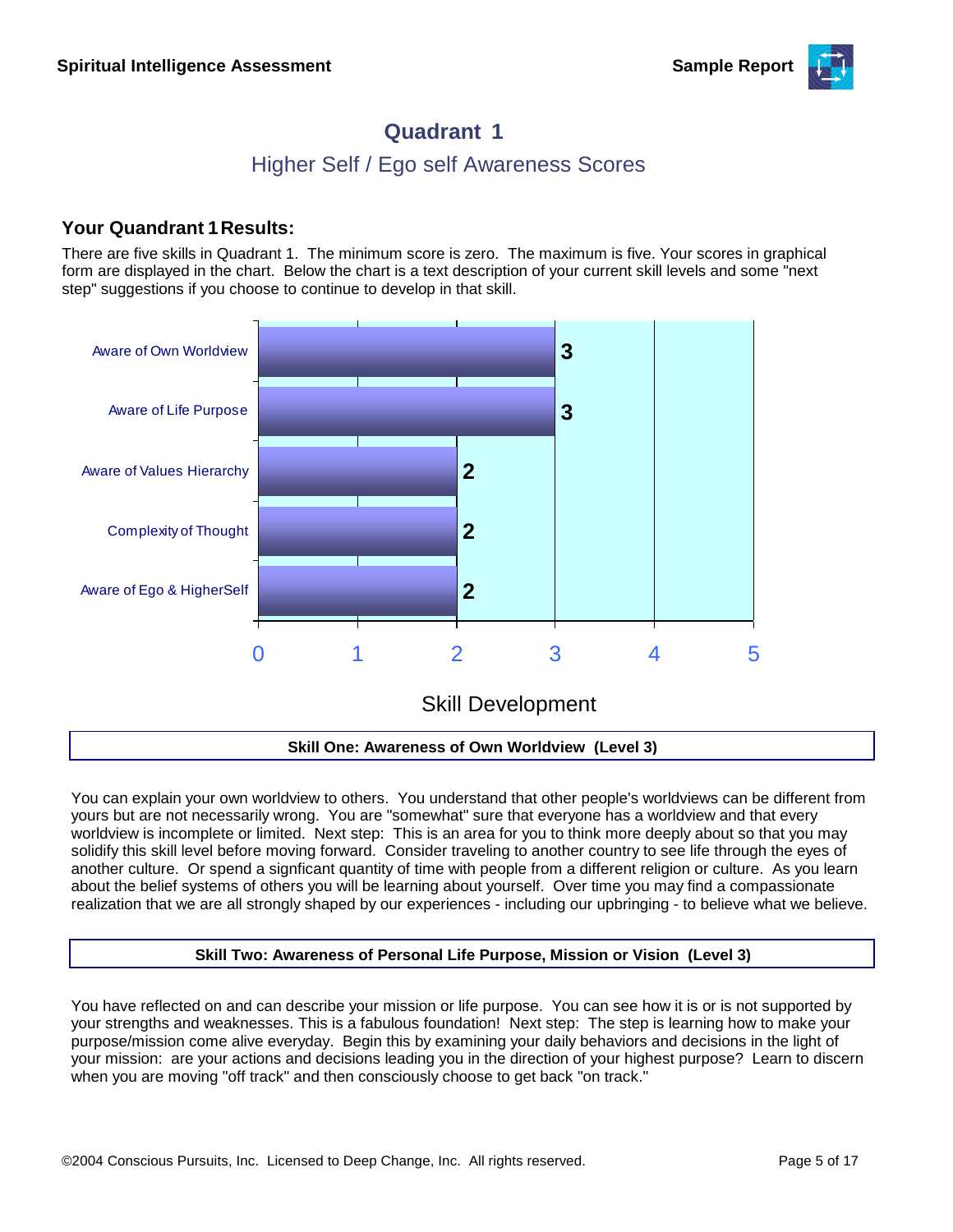

## **Quadrant 1** Higher Self / Ego self Awareness Scores

## **Your Quandrant 1 Results:**

There are five skills in Quadrant 1. The minimum score is zero. The maximum is five. Your scores in graphical form are displayed in the chart. Below the chart is a text description of your current skill levels and some "next step" suggestions if you choose to continue to develop in that skill.



You can explain your own worldview to others. You understand that other people's worldviews can be different from yours but are not necessarily wrong. You are "somewhat" sure that everyone has a worldview and that every worldview is incomplete or limited. Next step: This is an area for you to think more deeply about so that you may solidify this skill level before moving forward. Consider traveling to another country to see life through the eyes of another culture. Or spend a signficant quantity of time with people from a different religion or culture. As you learn about the belief systems of others you will be learning about yourself. Over time you may find a compassionate realization that we are all strongly shaped by our experiences - including our upbringing - to believe what we believe.

#### **Skill Two: Awareness of Personal Life Purpose, Mission or Vision (Level 3)**

You have reflected on and can describe your mission or life purpose. You can see how it is or is not supported by your strengths and weaknesses. This is a fabulous foundation! Next step: The step is learning how to make your purpose/mission come alive everyday. Begin this by examining your daily behaviors and decisions in the light of your mission: are your actions and decisions leading you in the direction of your highest purpose? Learn to discern when you are moving "off track" and then consciously choose to get back "on track."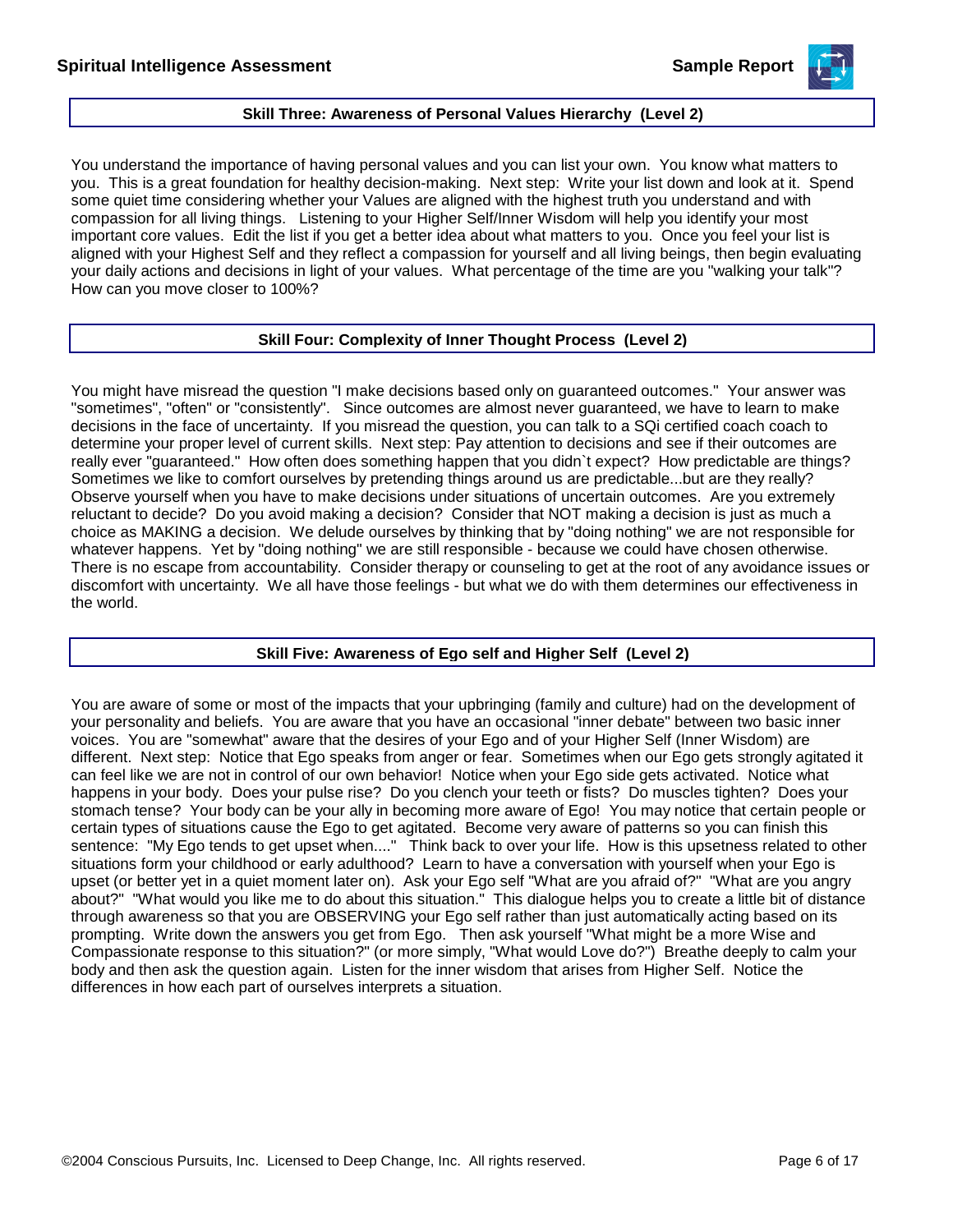

#### **Skill Three: Awareness of Personal Values Hierarchy (Level 2)**

You understand the importance of having personal values and you can list your own. You know what matters to you. This is a great foundation for healthy decision-making. Next step: Write your list down and look at it. Spend some quiet time considering whether your Values are aligned with the highest truth you understand and with compassion for all living things. Listening to your Higher Self/Inner Wisdom will help you identify your most important core values. Edit the list if you get a better idea about what matters to you. Once you feel your list is aligned with your Highest Self and they reflect a compassion for yourself and all living beings, then begin evaluating your daily actions and decisions in light of your values. What percentage of the time are you "walking your talk"? How can you move closer to 100%?

#### **Skill Four: Complexity of Inner Thought Process (Level 2)**

You might have misread the question "I make decisions based only on guaranteed outcomes." Your answer was "sometimes", "often" or "consistently". Since outcomes are almost never guaranteed, we have to learn to make decisions in the face of uncertainty. If you misread the question, you can talk to a SQi certified coach coach to determine your proper level of current skills. Next step: Pay attention to decisions and see if their outcomes are really ever "guaranteed." How often does something happen that you didn`t expect? How predictable are things? Sometimes we like to comfort ourselves by pretending things around us are predictable...but are they really? Observe yourself when you have to make decisions under situations of uncertain outcomes. Are you extremely reluctant to decide? Do you avoid making a decision? Consider that NOT making a decision is just as much a choice as MAKING a decision. We delude ourselves by thinking that by "doing nothing" we are not responsible for whatever happens. Yet by "doing nothing" we are still responsible - because we could have chosen otherwise. There is no escape from accountability. Consider therapy or counseling to get at the root of any avoidance issues or discomfort with uncertainty. We all have those feelings - but what we do with them determines our effectiveness in the world.

#### **Skill Five: Awareness of Ego self and Higher Self (Level 2)**

You are aware of some or most of the impacts that your upbringing (family and culture) had on the development of your personality and beliefs. You are aware that you have an occasional "inner debate" between two basic inner voices. You are "somewhat" aware that the desires of your Ego and of your Higher Self (Inner Wisdom) are different. Next step: Notice that Ego speaks from anger or fear. Sometimes when our Ego gets strongly agitated it can feel like we are not in control of our own behavior! Notice when your Ego side gets activated. Notice what happens in your body. Does your pulse rise? Do you clench your teeth or fists? Do muscles tighten? Does your stomach tense? Your body can be your ally in becoming more aware of Ego! You may notice that certain people or certain types of situations cause the Ego to get agitated. Become very aware of patterns so you can finish this sentence: "My Ego tends to get upset when...." Think back to over your life. How is this upsetness related to other situations form your childhood or early adulthood? Learn to have a conversation with yourself when your Ego is upset (or better yet in a quiet moment later on). Ask your Ego self "What are you afraid of?" "What are you angry about?" "What would you like me to do about this situation." This dialogue helps you to create a little bit of distance through awareness so that you are OBSERVING your Ego self rather than just automatically acting based on its prompting. Write down the answers you get from Ego. Then ask yourself "What might be a more Wise and Compassionate response to this situation?" (or more simply, "What would Love do?") Breathe deeply to calm your body and then ask the question again. Listen for the inner wisdom that arises from Higher Self. Notice the differences in how each part of ourselves interprets a situation.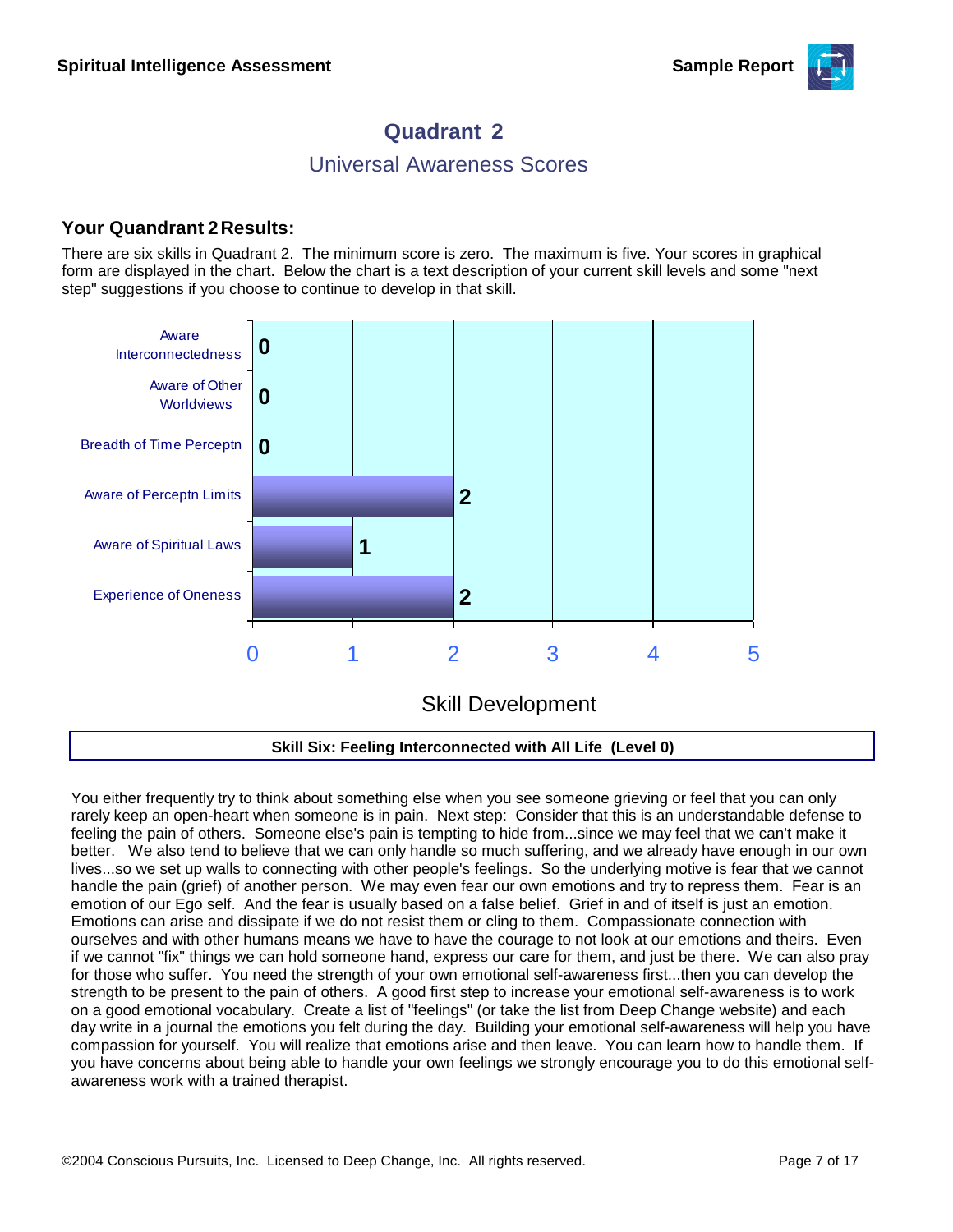

## **Quadrant 2**

## Universal Awareness Scores

### **Your Quandrant 2 Results:**

There are six skills in Quadrant 2. The minimum score is zero. The maximum is five. Your scores in graphical form are displayed in the chart. Below the chart is a text description of your current skill levels and some "next step" suggestions if you choose to continue to develop in that skill.



#### **Skill Six: Feeling Interconnected with All Life (Level 0)**

You either frequently try to think about something else when you see someone grieving or feel that you can only rarely keep an open-heart when someone is in pain. Next step: Consider that this is an understandable defense to feeling the pain of others. Someone else's pain is tempting to hide from...since we may feel that we can't make it better. We also tend to believe that we can only handle so much suffering, and we already have enough in our own lives...so we set up walls to connecting with other people's feelings. So the underlying motive is fear that we cannot handle the pain (grief) of another person. We may even fear our own emotions and try to repress them. Fear is an emotion of our Ego self. And the fear is usually based on a false belief. Grief in and of itself is just an emotion. Emotions can arise and dissipate if we do not resist them or cling to them. Compassionate connection with ourselves and with other humans means we have to have the courage to not look at our emotions and theirs. Even if we cannot "fix" things we can hold someone hand, express our care for them, and just be there. We can also pray for those who suffer. You need the strength of your own emotional self-awareness first...then you can develop the strength to be present to the pain of others. A good first step to increase your emotional self-awareness is to work on a good emotional vocabulary. Create a list of "feelings" (or take the list from Deep Change website) and each day write in a journal the emotions you felt during the day. Building your emotional self-awareness will help you have compassion for yourself. You will realize that emotions arise and then leave. You can learn how to handle them. If you have concerns about being able to handle your own feelings we strongly encourage you to do this emotional selfawareness work with a trained therapist.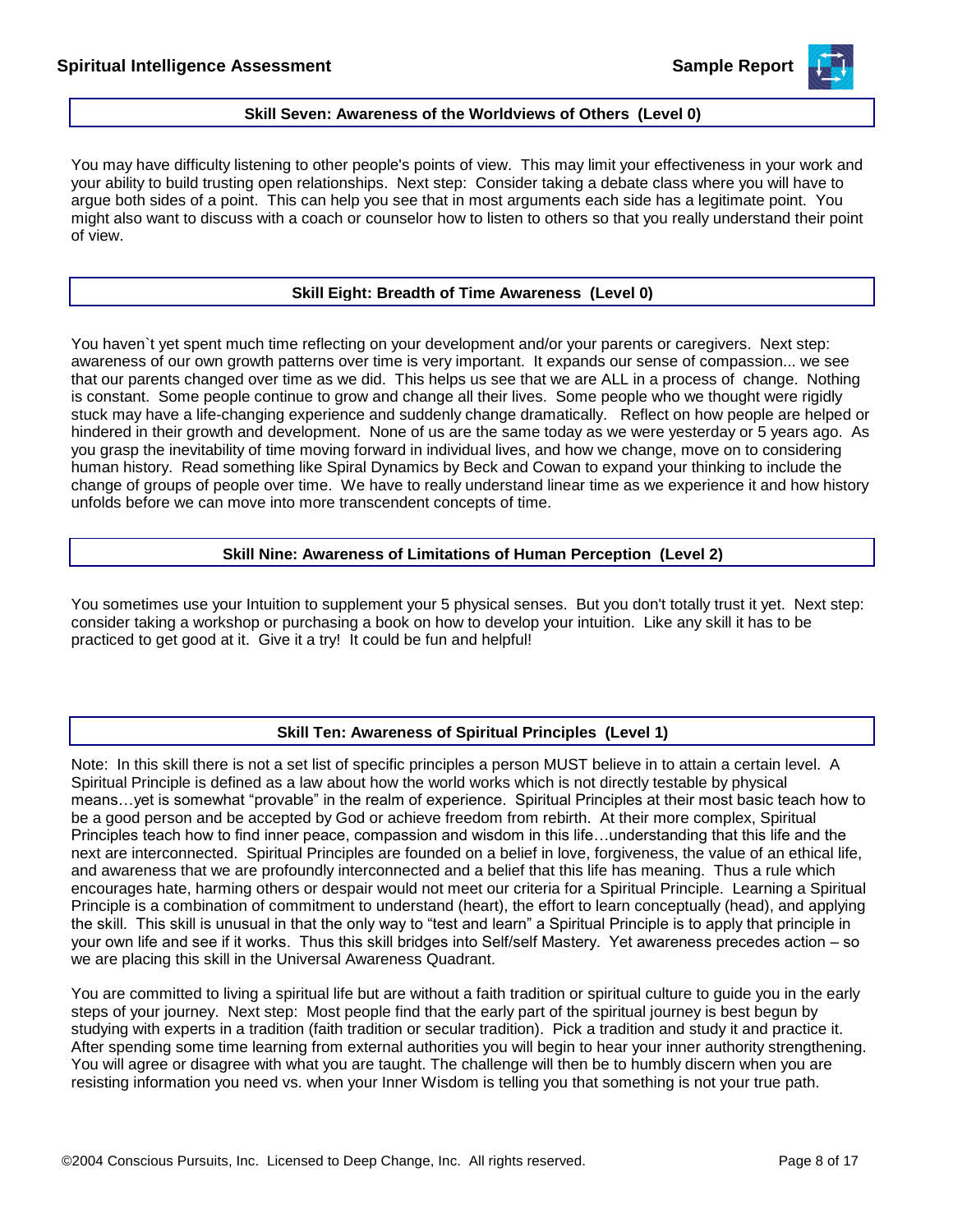

#### **Skill Seven: Awareness of the Worldviews of Others (Level 0)**

You may have difficulty listening to other people's points of view. This may limit your effectiveness in your work and your ability to build trusting open relationships. Next step: Consider taking a debate class where you will have to argue both sides of a point. This can help you see that in most arguments each side has a legitimate point. You might also want to discuss with a coach or counselor how to listen to others so that you really understand their point of view.

#### **Skill Eight: Breadth of Time Awareness (Level 0)**

You haven`t yet spent much time reflecting on your development and/or your parents or caregivers. Next step: awareness of our own growth patterns over time is very important. It expands our sense of compassion... we see that our parents changed over time as we did. This helps us see that we are ALL in a process of change. Nothing is constant. Some people continue to grow and change all their lives. Some people who we thought were rigidly stuck may have a life-changing experience and suddenly change dramatically. Reflect on how people are helped or hindered in their growth and development. None of us are the same today as we were yesterday or 5 years ago. As you grasp the inevitability of time moving forward in individual lives, and how we change, move on to considering human history. Read something like Spiral Dynamics by Beck and Cowan to expand your thinking to include the change of groups of people over time. We have to really understand linear time as we experience it and how history unfolds before we can move into more transcendent concepts of time.

#### **Skill Nine: Awareness of Limitations of Human Perception (Level 2)**

You sometimes use your Intuition to supplement your 5 physical senses. But you don't totally trust it yet. Next step: consider taking a workshop or purchasing a book on how to develop your intuition. Like any skill it has to be practiced to get good at it. Give it a try! It could be fun and helpful!

#### **Skill Ten: Awareness of Spiritual Principles (Level 1)**

Note: In this skill there is not a set list of specific principles a person MUST believe in to attain a certain level. A Spiritual Principle is defined as a law about how the world works which is not directly testable by physical means…yet is somewhat "provable" in the realm of experience. Spiritual Principles at their most basic teach how to be a good person and be accepted by God or achieve freedom from rebirth. At their more complex, Spiritual Principles teach how to find inner peace, compassion and wisdom in this life…understanding that this life and the next are interconnected. Spiritual Principles are founded on a belief in love, forgiveness, the value of an ethical life, and awareness that we are profoundly interconnected and a belief that this life has meaning. Thus a rule which encourages hate, harming others or despair would not meet our criteria for a Spiritual Principle. Learning a Spiritual Principle is a combination of commitment to understand (heart), the effort to learn conceptually (head), and applying the skill. This skill is unusual in that the only way to "test and learn" a Spiritual Principle is to apply that principle in your own life and see if it works. Thus this skill bridges into Self/self Mastery. Yet awareness precedes action – so we are placing this skill in the Universal Awareness Quadrant.

You are committed to living a spiritual life but are without a faith tradition or spiritual culture to guide you in the early steps of your journey. Next step: Most people find that the early part of the spiritual journey is best begun by studying with experts in a tradition (faith tradition or secular tradition). Pick a tradition and study it and practice it. After spending some time learning from external authorities you will begin to hear your inner authority strengthening. You will agree or disagree with what you are taught. The challenge will then be to humbly discern when you are resisting information you need vs. when your Inner Wisdom is telling you that something is not your true path.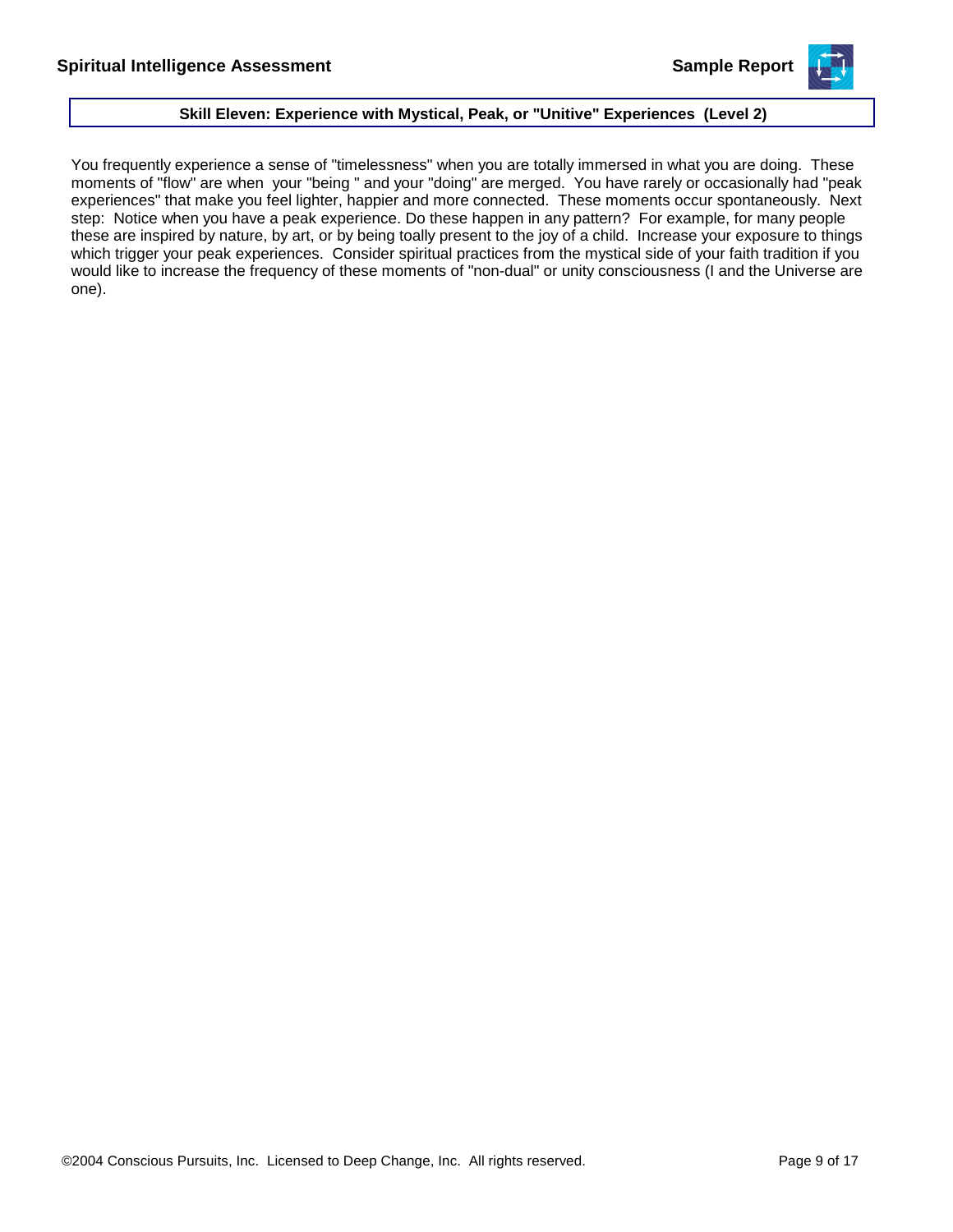

You frequently experience a sense of "timelessness" when you are totally immersed in what you are doing. These moments of "flow" are when your "being " and your "doing" are merged. You have rarely or occasionally had "peak experiences" that make you feel lighter, happier and more connected. These moments occur spontaneously. Next step: Notice when you have a peak experience. Do these happen in any pattern? For example, for many people these are inspired by nature, by art, or by being toally present to the joy of a child. Increase your exposure to things which trigger your peak experiences. Consider spiritual practices from the mystical side of your faith tradition if you would like to increase the frequency of these moments of "non-dual" or unity consciousness (I and the Universe are one).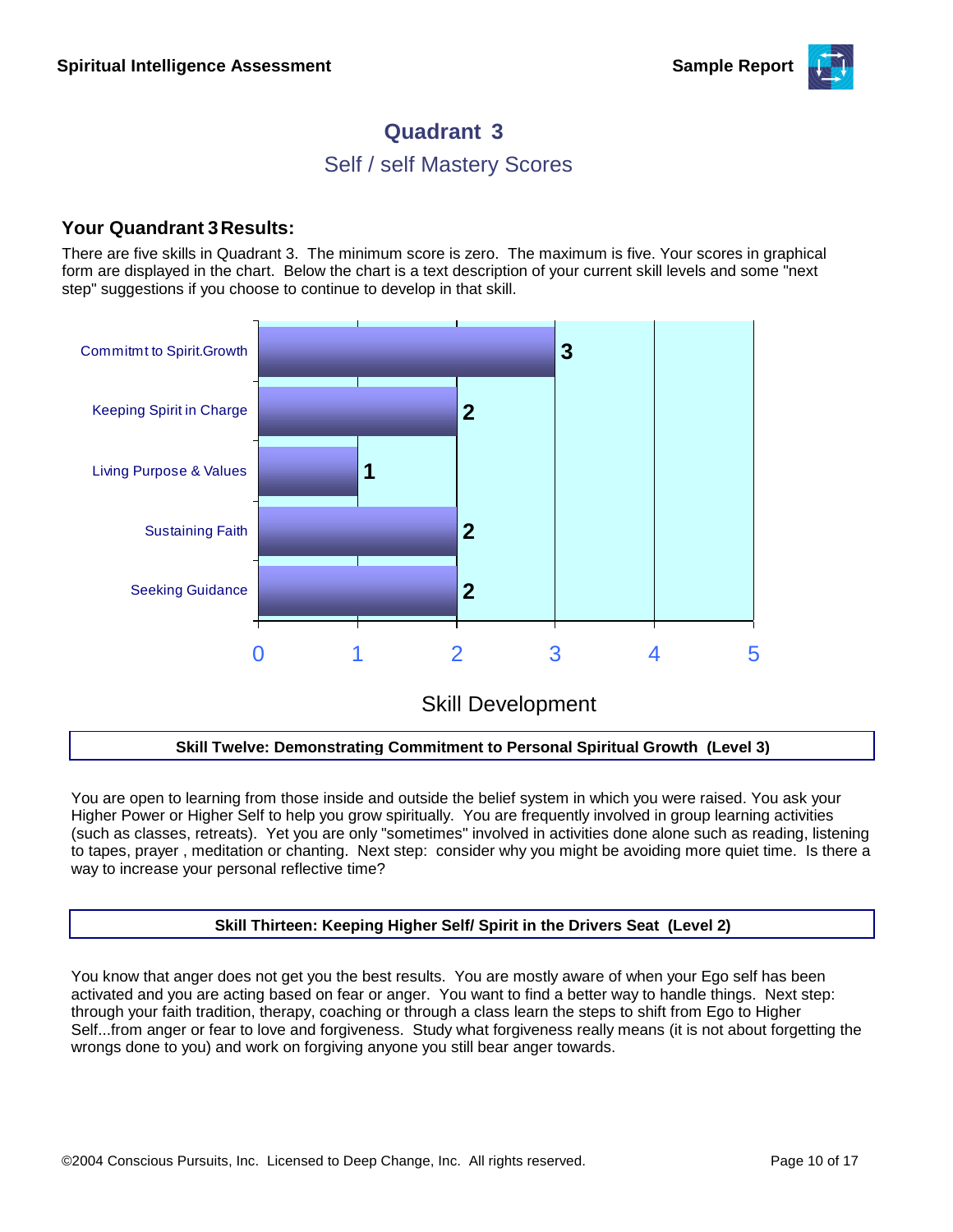

## **Quadrant 3** Self / self Mastery Scores

## **Your Quandrant 3 Results:**

There are five skills in Quadrant 3. The minimum score is zero. The maximum is five. Your scores in graphical form are displayed in the chart. Below the chart is a text description of your current skill levels and some "next step" suggestions if you choose to continue to develop in that skill.



#### **Skill Twelve: Demonstrating Commitment to Personal Spiritual Growth (Level 3)**

You are open to learning from those inside and outside the belief system in which you were raised. You ask your Higher Power or Higher Self to help you grow spiritually. You are frequently involved in group learning activities (such as classes, retreats). Yet you are only "sometimes" involved in activities done alone such as reading, listening to tapes, prayer , meditation or chanting. Next step: consider why you might be avoiding more quiet time. Is there a way to increase your personal reflective time?

#### **Skill Thirteen: Keeping Higher Self/ Spirit in the Drivers Seat (Level 2)**

You know that anger does not get you the best results. You are mostly aware of when your Ego self has been activated and you are acting based on fear or anger. You want to find a better way to handle things. Next step: through your faith tradition, therapy, coaching or through a class learn the steps to shift from Ego to Higher Self...from anger or fear to love and forgiveness. Study what forgiveness really means (it is not about forgetting the wrongs done to you) and work on forgiving anyone you still bear anger towards.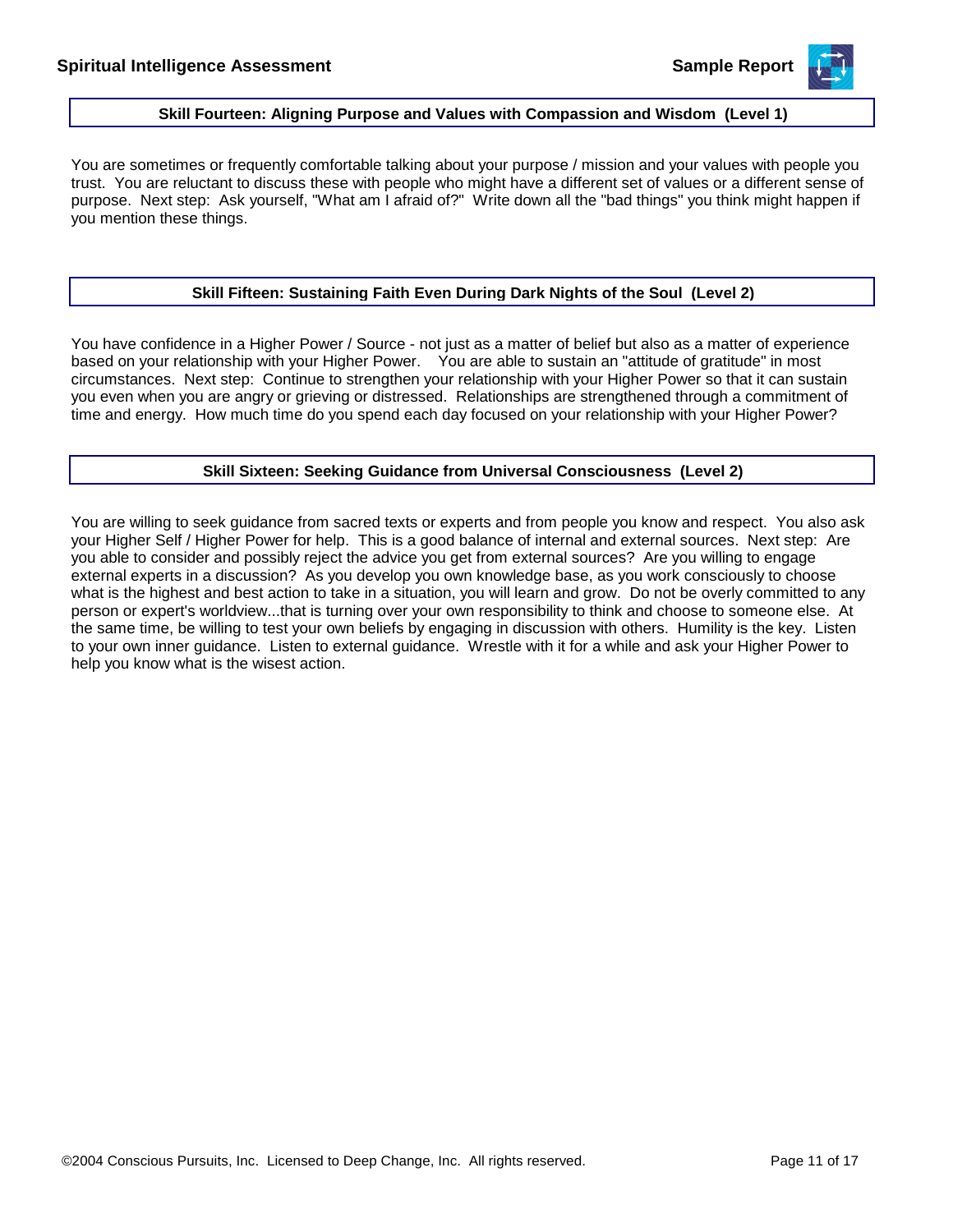

#### **Skill Fourteen: Aligning Purpose and Values with Compassion and Wisdom (Level 1)**

You are sometimes or frequently comfortable talking about your purpose / mission and your values with people you trust. You are reluctant to discuss these with people who might have a different set of values or a different sense of purpose. Next step: Ask yourself, "What am I afraid of?" Write down all the "bad things" you think might happen if you mention these things.

#### **Skill Fifteen: Sustaining Faith Even During Dark Nights of the Soul (Level 2)**

You have confidence in a Higher Power / Source - not just as a matter of belief but also as a matter of experience based on your relationship with your Higher Power. You are able to sustain an "attitude of gratitude" in most circumstances. Next step: Continue to strengthen your relationship with your Higher Power so that it can sustain you even when you are angry or grieving or distressed. Relationships are strengthened through a commitment of time and energy. How much time do you spend each day focused on your relationship with your Higher Power?

#### **Skill Sixteen: Seeking Guidance from Universal Consciousness (Level 2)**

You are willing to seek guidance from sacred texts or experts and from people you know and respect. You also ask your Higher Self / Higher Power for help. This is a good balance of internal and external sources. Next step: Are you able to consider and possibly reject the advice you get from external sources? Are you willing to engage external experts in a discussion? As you develop you own knowledge base, as you work consciously to choose what is the highest and best action to take in a situation, you will learn and grow. Do not be overly committed to any person or expert's worldview...that is turning over your own responsibility to think and choose to someone else. At the same time, be willing to test your own beliefs by engaging in discussion with others. Humility is the key. Listen to your own inner guidance. Listen to external guidance. Wrestle with it for a while and ask your Higher Power to help you know what is the wisest action.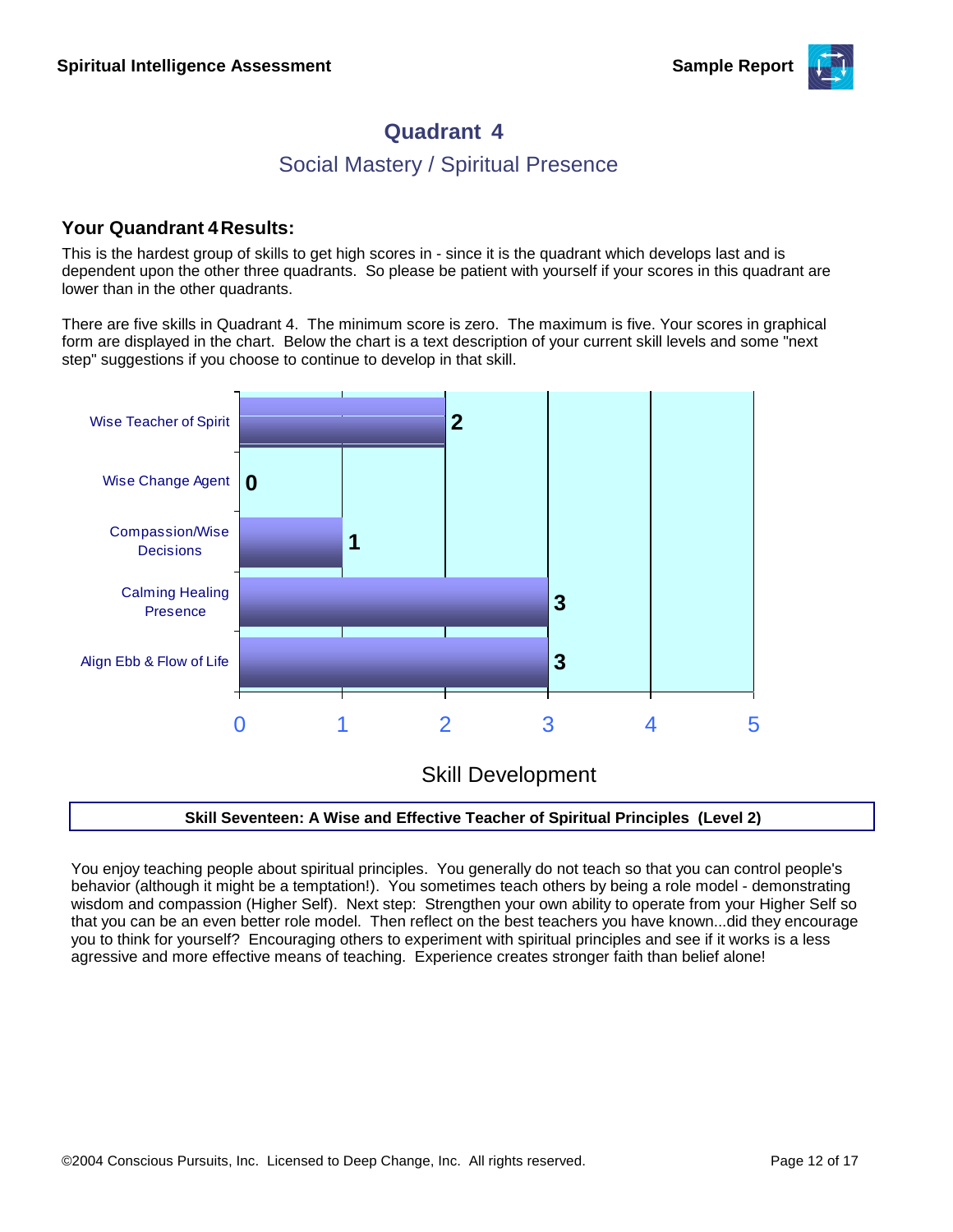

## **Quadrant 4** Social Mastery / Spiritual Presence

## **Your Quandrant 4 Results:**

This is the hardest group of skills to get high scores in - since it is the quadrant which develops last and is dependent upon the other three quadrants. So please be patient with yourself if your scores in this quadrant are lower than in the other quadrants.

There are five skills in Quadrant 4. The minimum score is zero. The maximum is five. Your scores in graphical form are displayed in the chart. Below the chart is a text description of your current skill levels and some "next step" suggestions if you choose to continue to develop in that skill.



#### **Skill Seventeen: A Wise and Effective Teacher of Spiritual Principles (Level 2)**

You enjoy teaching people about spiritual principles. You generally do not teach so that you can control people's behavior (although it might be a temptation!). You sometimes teach others by being a role model - demonstrating wisdom and compassion (Higher Self). Next step: Strengthen your own ability to operate from your Higher Self so that you can be an even better role model. Then reflect on the best teachers you have known...did they encourage you to think for yourself? Encouraging others to experiment with spiritual principles and see if it works is a less agressive and more effective means of teaching. Experience creates stronger faith than belief alone!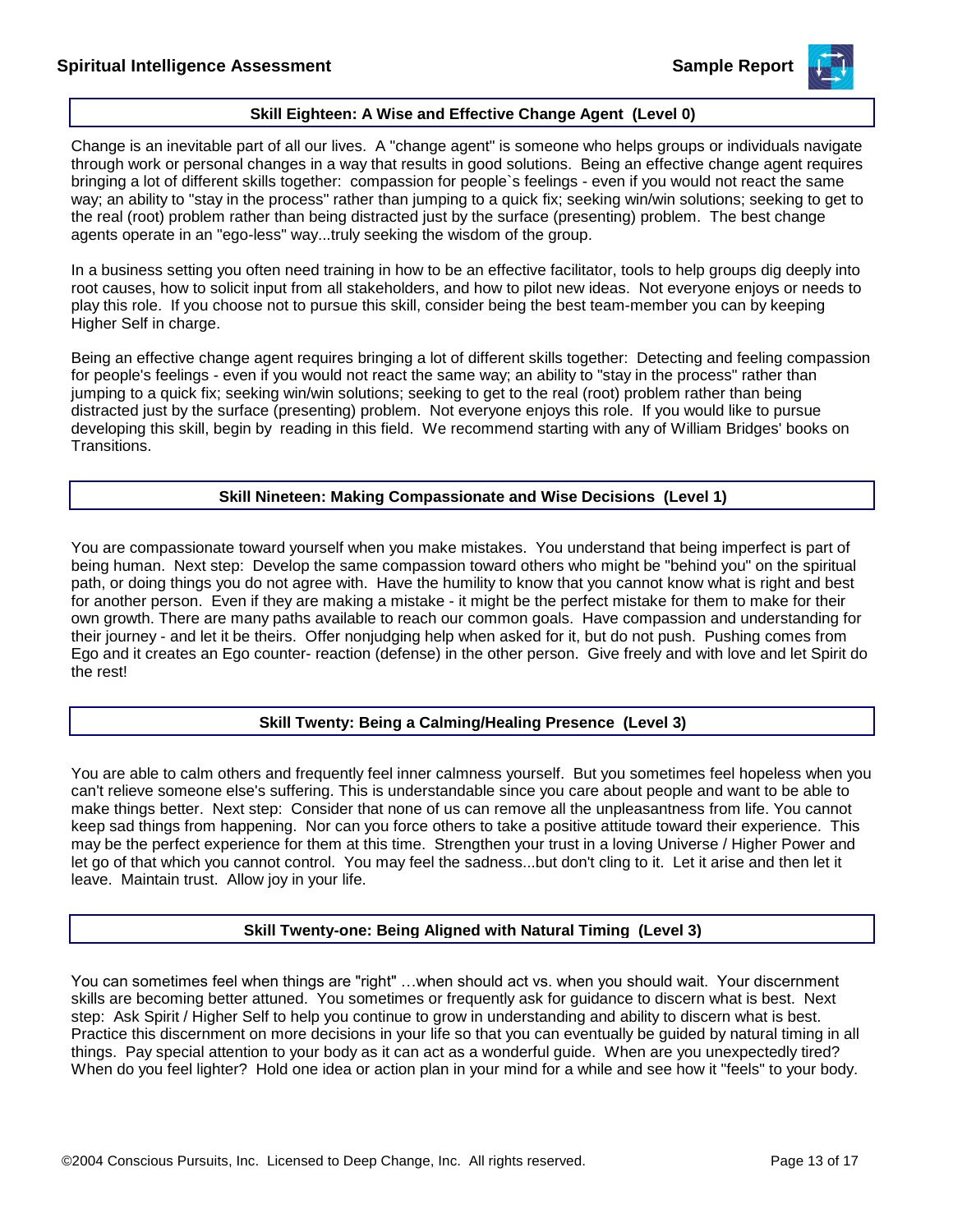#### **Skill Eighteen: A Wise and Effective Change Agent (Level 0)**

Change is an inevitable part of all our lives. A "change agent" is someone who helps groups or individuals navigate through work or personal changes in a way that results in good solutions. Being an effective change agent requires bringing a lot of different skills together: compassion for people`s feelings - even if you would not react the same way; an ability to "stay in the process" rather than jumping to a quick fix; seeking win/win solutions; seeking to get to the real (root) problem rather than being distracted just by the surface (presenting) problem. The best change agents operate in an "ego-less" way...truly seeking the wisdom of the group.

In a business setting you often need training in how to be an effective facilitator, tools to help groups dig deeply into root causes, how to solicit input from all stakeholders, and how to pilot new ideas. Not everyone enjoys or needs to play this role. If you choose not to pursue this skill, consider being the best team-member you can by keeping Higher Self in charge.

Being an effective change agent requires bringing a lot of different skills together: Detecting and feeling compassion for people's feelings - even if you would not react the same way; an ability to "stay in the process" rather than jumping to a quick fix; seeking win/win solutions; seeking to get to the real (root) problem rather than being distracted just by the surface (presenting) problem. Not everyone enjoys this role. If you would like to pursue developing this skill, begin by reading in this field. We recommend starting with any of William Bridges' books on Transitions.

#### **Skill Nineteen: Making Compassionate and Wise Decisions (Level 1)**

You are compassionate toward yourself when you make mistakes. You understand that being imperfect is part of being human. Next step: Develop the same compassion toward others who might be "behind you" on the spiritual path, or doing things you do not agree with. Have the humility to know that you cannot know what is right and best for another person. Even if they are making a mistake - it might be the perfect mistake for them to make for their own growth. There are many paths available to reach our common goals. Have compassion and understanding for their journey - and let it be theirs. Offer nonjudging help when asked for it, but do not push. Pushing comes from Ego and it creates an Ego counter- reaction (defense) in the other person. Give freely and with love and let Spirit do the rest!

#### **Skill Twenty: Being a Calming/Healing Presence (Level 3)**

You are able to calm others and frequently feel inner calmness yourself. But you sometimes feel hopeless when you can't relieve someone else's suffering. This is understandable since you care about people and want to be able to make things better. Next step: Consider that none of us can remove all the unpleasantness from life. You cannot keep sad things from happening. Nor can you force others to take a positive attitude toward their experience. This may be the perfect experience for them at this time. Strengthen your trust in a loving Universe / Higher Power and let go of that which you cannot control. You may feel the sadness...but don't cling to it. Let it arise and then let it leave. Maintain trust. Allow joy in your life.

#### **Skill Twenty-one: Being Aligned with Natural Timing (Level 3)**

You can sometimes feel when things are "right" …when should act vs. when you should wait. Your discernment skills are becoming better attuned. You sometimes or frequently ask for guidance to discern what is best. Next step: Ask Spirit / Higher Self to help you continue to grow in understanding and ability to discern what is best. Practice this discernment on more decisions in your life so that you can eventually be guided by natural timing in all things. Pay special attention to your body as it can act as a wonderful guide. When are you unexpectedly tired? When do you feel lighter? Hold one idea or action plan in your mind for a while and see how it "feels" to your body.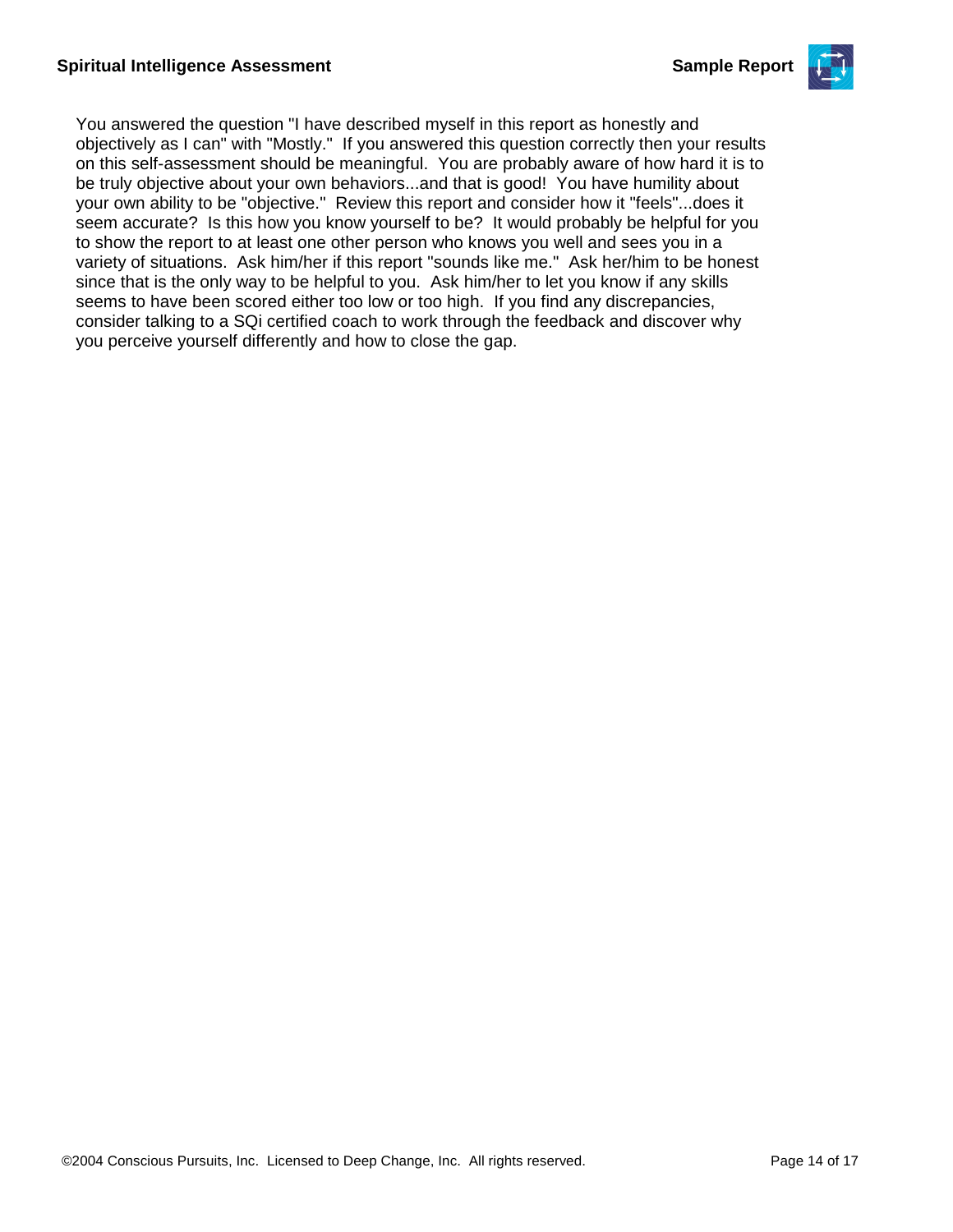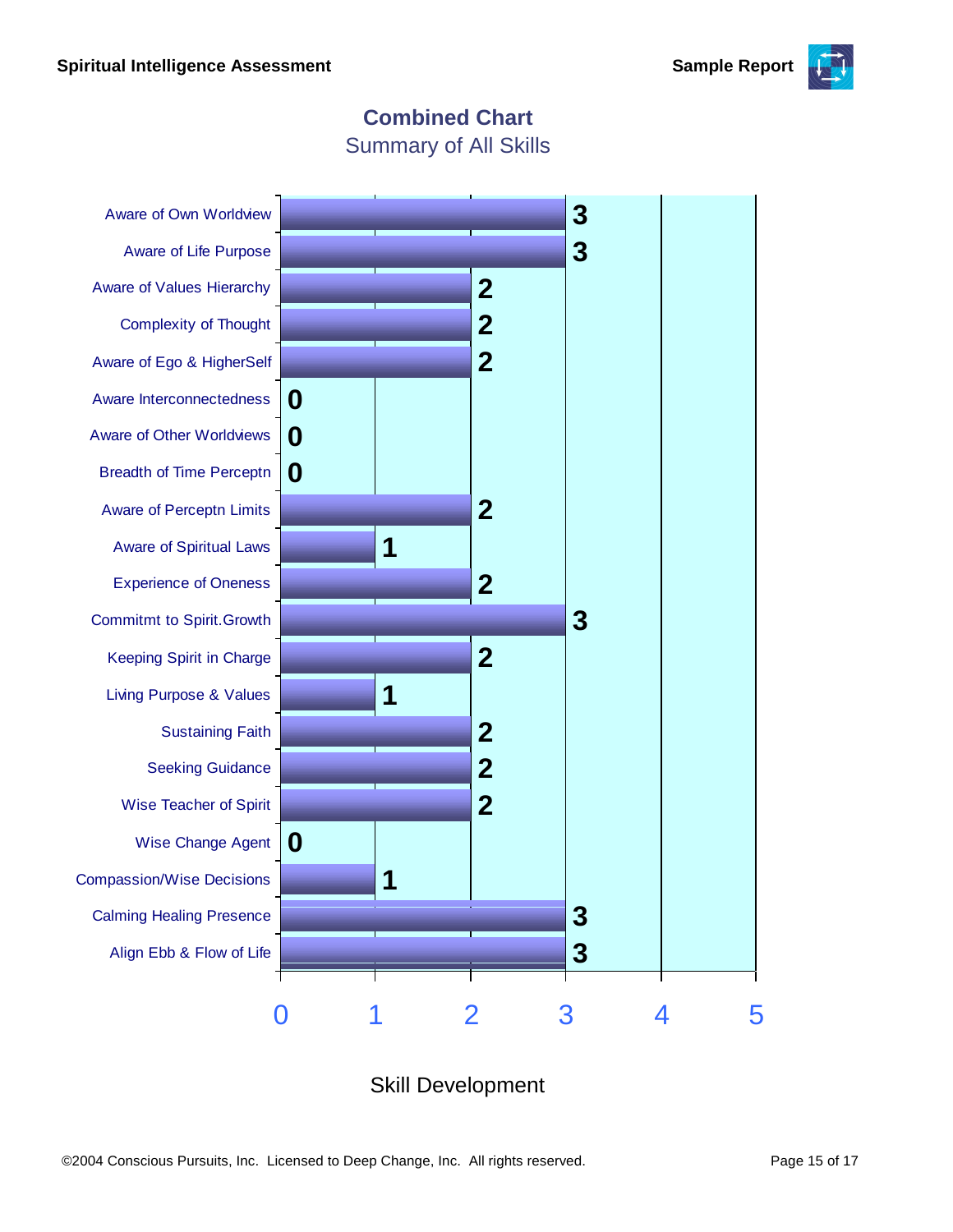



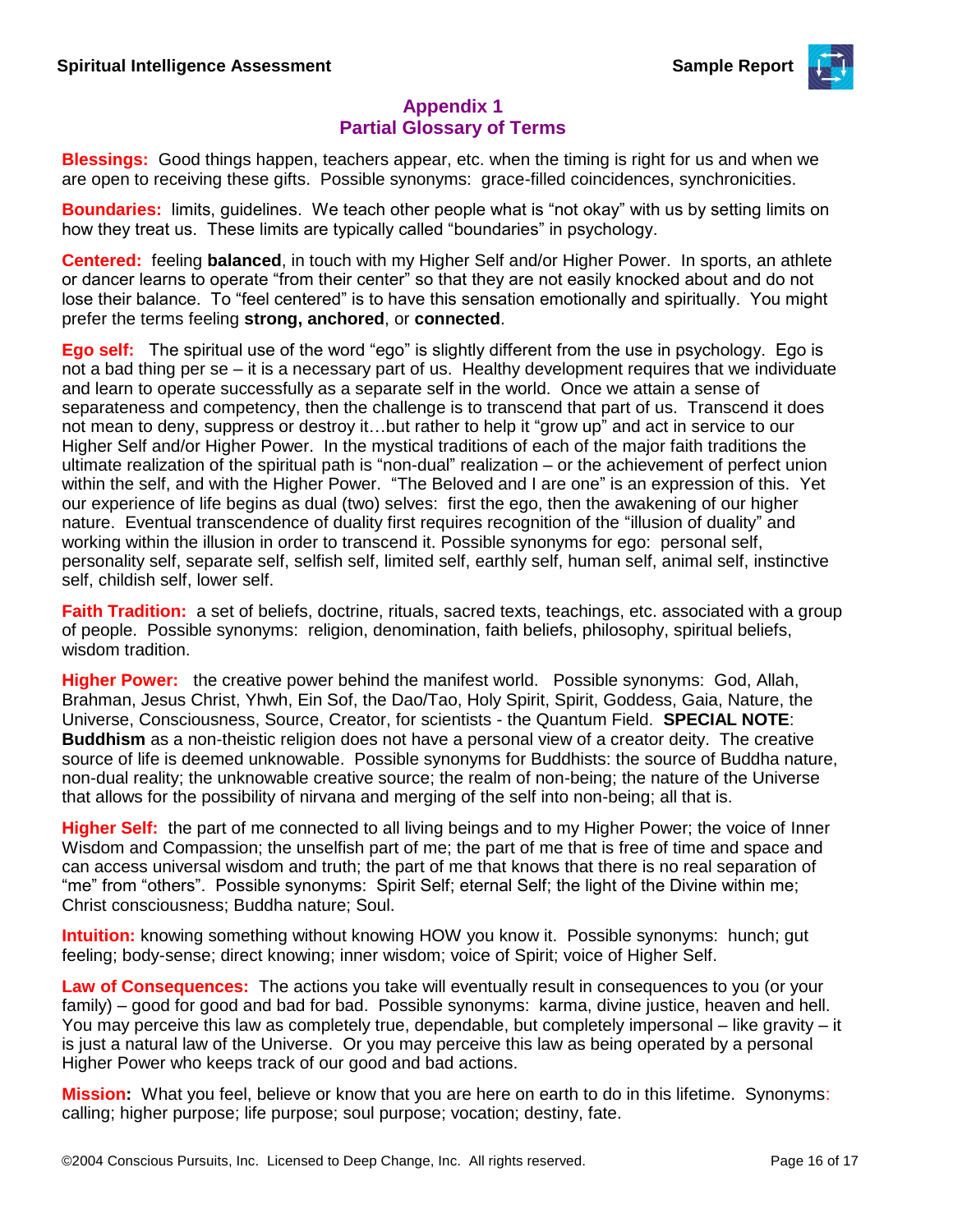

### **Appendix 1 Partial Glossary of Terms**

**Blessings:** Good things happen, teachers appear, etc. when the timing is right for us and when we are open to receiving these gifts. Possible synonyms: grace-filled coincidences, synchronicities.

**Boundaries:** limits, guidelines. We teach other people what is "not okay" with us by setting limits on how they treat us. These limits are typically called "boundaries" in psychology.

**Centered:** feeling **balanced**, in touch with my Higher Self and/or Higher Power. In sports, an athlete or dancer learns to operate "from their center" so that they are not easily knocked about and do not lose their balance. To "feel centered" is to have this sensation emotionally and spiritually. You might prefer the terms feeling **strong, anchored**, or **connected**.

**Ego self:** The spiritual use of the word "ego" is slightly different from the use in psychology. Ego is not a bad thing per se – it is a necessary part of us. Healthy development requires that we individuate and learn to operate successfully as a separate self in the world. Once we attain a sense of separateness and competency, then the challenge is to transcend that part of us. Transcend it does not mean to deny, suppress or destroy it…but rather to help it "grow up" and act in service to our Higher Self and/or Higher Power. In the mystical traditions of each of the major faith traditions the ultimate realization of the spiritual path is "non-dual" realization – or the achievement of perfect union within the self, and with the Higher Power. "The Beloved and I are one" is an expression of this. Yet our experience of life begins as dual (two) selves: first the ego, then the awakening of our higher nature. Eventual transcendence of duality first requires recognition of the "illusion of duality" and working within the illusion in order to transcend it. Possible synonyms for ego: personal self, personality self, separate self, selfish self, limited self, earthly self, human self, animal self, instinctive self, childish self, lower self.

**Faith Tradition:** a set of beliefs, doctrine, rituals, sacred texts, teachings, etc. associated with a group of people. Possible synonyms: religion, denomination, faith beliefs, philosophy, spiritual beliefs, wisdom tradition.

**Higher Power:** the creative power behind the manifest world. Possible synonyms: God, Allah, Brahman, Jesus Christ, Yhwh, Ein Sof, the Dao/Tao, Holy Spirit, Spirit, Goddess, Gaia, Nature, the Universe, Consciousness, Source, Creator, for scientists - the Quantum Field. **SPECIAL NOTE**: **Buddhism** as a non-theistic religion does not have a personal view of a creator deity. The creative source of life is deemed unknowable. Possible synonyms for Buddhists: the source of Buddha nature, non-dual reality; the unknowable creative source; the realm of non-being; the nature of the Universe that allows for the possibility of nirvana and merging of the self into non-being; all that is.

**Higher Self:** the part of me connected to all living beings and to my Higher Power; the voice of Inner Wisdom and Compassion; the unselfish part of me; the part of me that is free of time and space and can access universal wisdom and truth; the part of me that knows that there is no real separation of "me" from "others". Possible synonyms: Spirit Self; eternal Self; the light of the Divine within me; Christ consciousness; Buddha nature; Soul.

**Intuition:** knowing something without knowing HOW you know it. Possible synonyms: hunch; gut feeling; body-sense; direct knowing; inner wisdom; voice of Spirit; voice of Higher Self.

**Law of Consequences:** The actions you take will eventually result in consequences to you (or your family) – good for good and bad for bad. Possible synonyms: karma, divine justice, heaven and hell. You may perceive this law as completely true, dependable, but completely impersonal – like gravity – it is just a natural law of the Universe. Or you may perceive this law as being operated by a personal Higher Power who keeps track of our good and bad actions.

**Mission:** What you feel, believe or know that you are here on earth to do in this lifetime. Synonyms: calling; higher purpose; life purpose; soul purpose; vocation; destiny, fate.